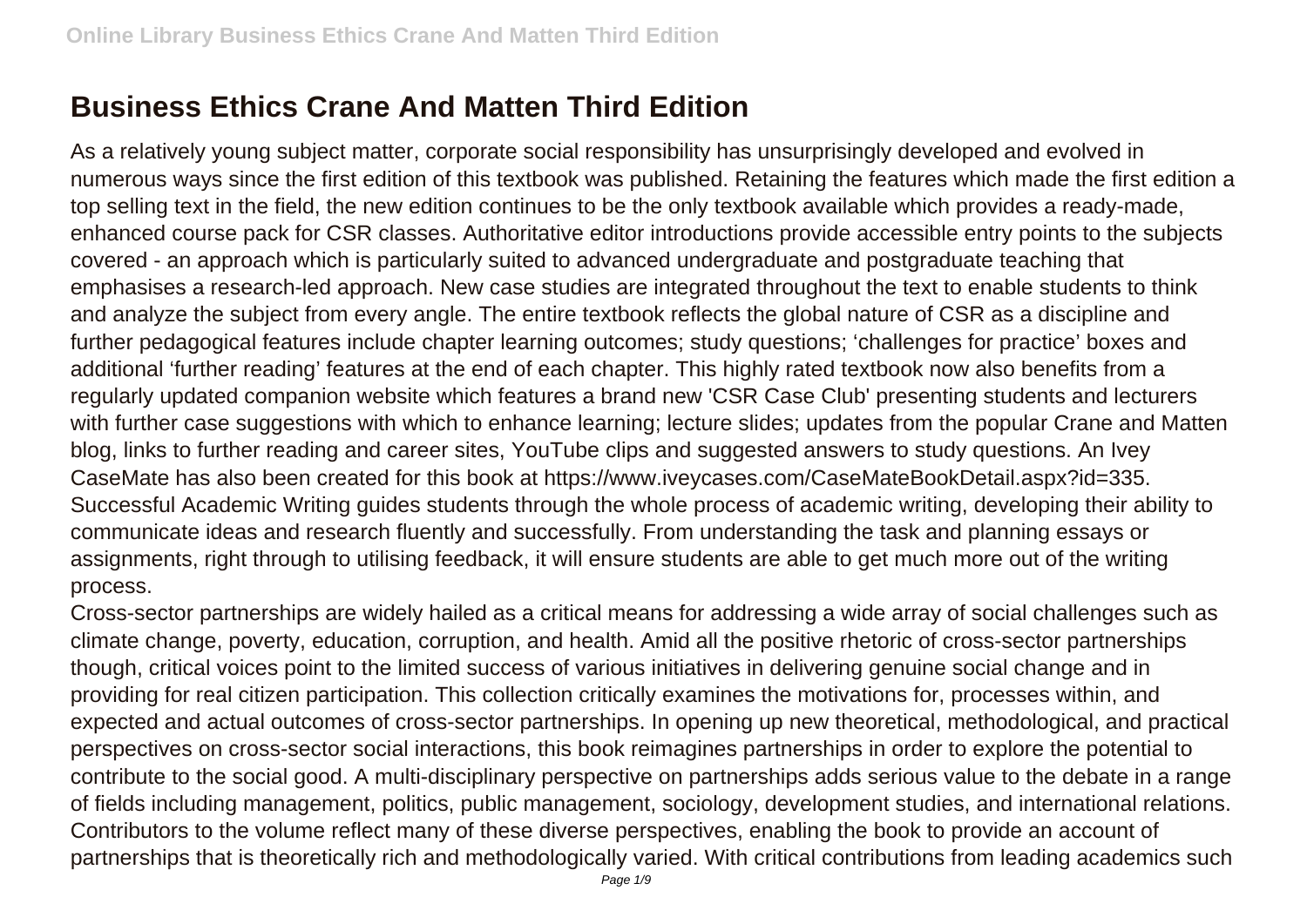## **Business Ethics Crane And Matten Third Edition**

As a relatively young subject matter, corporate social responsibility has unsurprisingly developed and evolved in numerous ways since the first edition of this textbook was published. Retaining the features which made the first edition a top selling text in the field, the new edition continues to be the only textbook available which provides a ready-made, enhanced course pack for CSR classes. Authoritative editor introductions provide accessible entry points to the subjects covered - an approach which is particularly suited to advanced undergraduate and postgraduate teaching that emphasises a research-led approach. New case studies are integrated throughout the text to enable students to think and analyze the subject from every angle. The entire textbook reflects the global nature of CSR as a discipline and further pedagogical features include chapter learning outcomes; study questions; 'challenges for practice' boxes and additional 'further reading' features at the end of each chapter. This highly rated textbook now also benefits from a regularly updated companion website which features a brand new 'CSR Case Club' presenting students and lecturers with further case suggestions with which to enhance learning; lecture slides; updates from the popular Crane and Matten blog, links to further reading and career sites, YouTube clips and suggested answers to study questions. An Ivey CaseMate has also been created for this book at https://www.iveycases.com/CaseMateBookDetail.aspx?id=335. Successful Academic Writing guides students through the whole process of academic writing, developing their ability to communicate ideas and research fluently and successfully. From understanding the task and planning essays or assignments, right through to utilising feedback, it will ensure students are able to get much more out of the writing process.

Cross-sector partnerships are widely hailed as a critical means for addressing a wide array of social challenges such as climate change, poverty, education, corruption, and health. Amid all the positive rhetoric of cross-sector partnerships though, critical voices point to the limited success of various initiatives in delivering genuine social change and in providing for real citizen participation. This collection critically examines the motivations for, processes within, and expected and actual outcomes of cross-sector partnerships. In opening up new theoretical, methodological, and practical perspectives on cross-sector social interactions, this book reimagines partnerships in order to explore the potential to contribute to the social good. A multi-disciplinary perspective on partnerships adds serious value to the debate in a range of fields including management, politics, public management, sociology, development studies, and international relations. Contributors to the volume reflect many of these diverse perspectives, enabling the book to provide an account of partnerships that is theoretically rich and methodologically varied. With critical contributions from leading academics such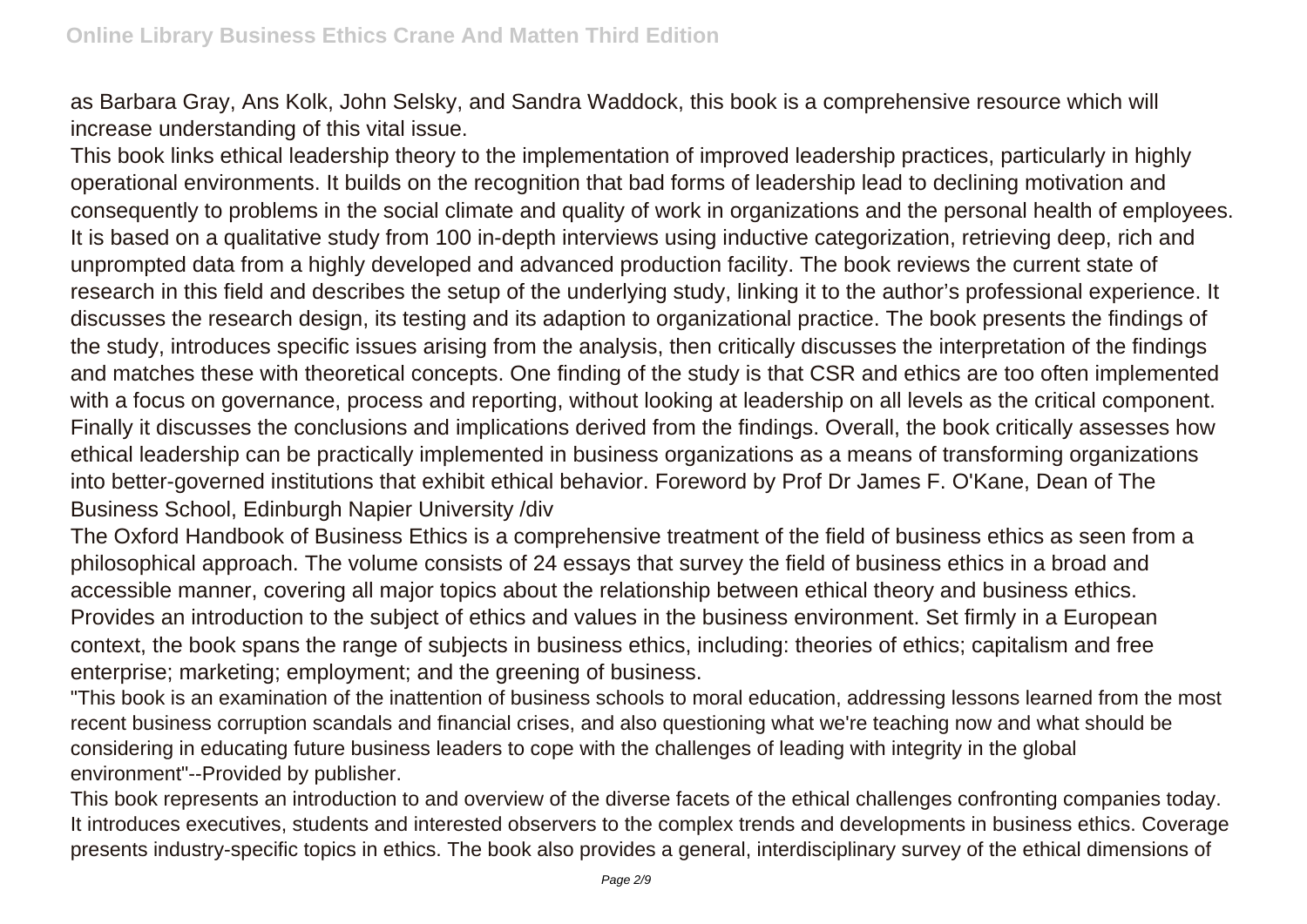as Barbara Gray, Ans Kolk, John Selsky, and Sandra Waddock, this book is a comprehensive resource which will increase understanding of this vital issue.

This book links ethical leadership theory to the implementation of improved leadership practices, particularly in highly operational environments. It builds on the recognition that bad forms of leadership lead to declining motivation and consequently to problems in the social climate and quality of work in organizations and the personal health of employees. It is based on a qualitative study from 100 in-depth interviews using inductive categorization, retrieving deep, rich and unprompted data from a highly developed and advanced production facility. The book reviews the current state of research in this field and describes the setup of the underlying study, linking it to the author's professional experience. It discusses the research design, its testing and its adaption to organizational practice. The book presents the findings of the study, introduces specific issues arising from the analysis, then critically discusses the interpretation of the findings and matches these with theoretical concepts. One finding of the study is that CSR and ethics are too often implemented with a focus on governance, process and reporting, without looking at leadership on all levels as the critical component. Finally it discusses the conclusions and implications derived from the findings. Overall, the book critically assesses how ethical leadership can be practically implemented in business organizations as a means of transforming organizations into better-governed institutions that exhibit ethical behavior. Foreword by Prof Dr James F. O'Kane, Dean of The Business School, Edinburgh Napier University /div

The Oxford Handbook of Business Ethics is a comprehensive treatment of the field of business ethics as seen from a philosophical approach. The volume consists of 24 essays that survey the field of business ethics in a broad and accessible manner, covering all major topics about the relationship between ethical theory and business ethics. Provides an introduction to the subject of ethics and values in the business environment. Set firmly in a European context, the book spans the range of subjects in business ethics, including: theories of ethics; capitalism and free enterprise; marketing; employment; and the greening of business.

"This book is an examination of the inattention of business schools to moral education, addressing lessons learned from the most recent business corruption scandals and financial crises, and also questioning what we're teaching now and what should be considering in educating future business leaders to cope with the challenges of leading with integrity in the global environment"--Provided by publisher.

This book represents an introduction to and overview of the diverse facets of the ethical challenges confronting companies today. It introduces executives, students and interested observers to the complex trends and developments in business ethics. Coverage presents industry-specific topics in ethics. The book also provides a general, interdisciplinary survey of the ethical dimensions of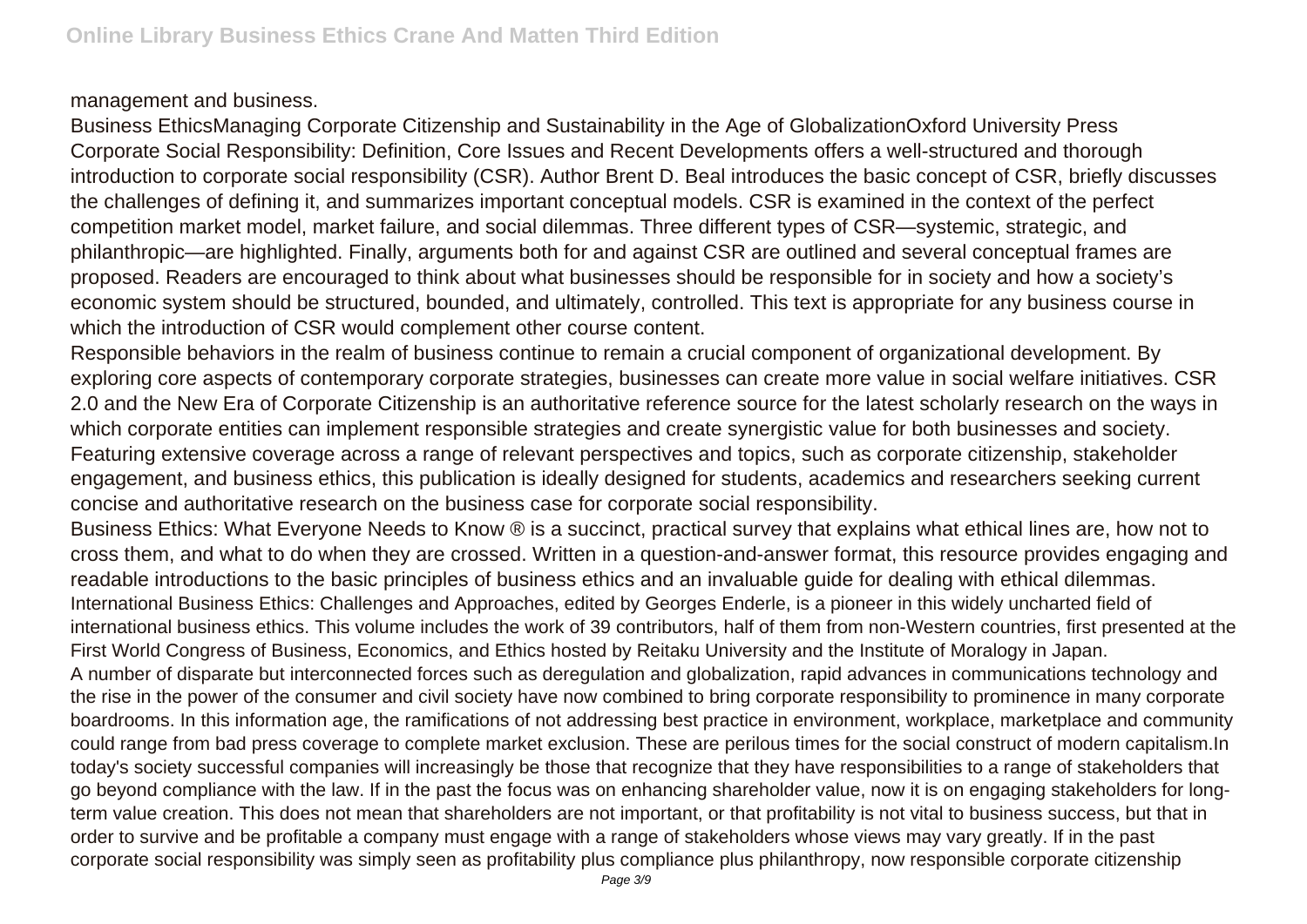## management and business.

Business EthicsManaging Corporate Citizenship and Sustainability in the Age of GlobalizationOxford University Press Corporate Social Responsibility: Definition, Core Issues and Recent Developments offers a well-structured and thorough introduction to corporate social responsibility (CSR). Author Brent D. Beal introduces the basic concept of CSR, briefly discusses the challenges of defining it, and summarizes important conceptual models. CSR is examined in the context of the perfect competition market model, market failure, and social dilemmas. Three different types of CSR—systemic, strategic, and philanthropic—are highlighted. Finally, arguments both for and against CSR are outlined and several conceptual frames are proposed. Readers are encouraged to think about what businesses should be responsible for in society and how a society's economic system should be structured, bounded, and ultimately, controlled. This text is appropriate for any business course in which the introduction of CSR would complement other course content.

Responsible behaviors in the realm of business continue to remain a crucial component of organizational development. By exploring core aspects of contemporary corporate strategies, businesses can create more value in social welfare initiatives. CSR 2.0 and the New Era of Corporate Citizenship is an authoritative reference source for the latest scholarly research on the ways in which corporate entities can implement responsible strategies and create synergistic value for both businesses and society. Featuring extensive coverage across a range of relevant perspectives and topics, such as corporate citizenship, stakeholder engagement, and business ethics, this publication is ideally designed for students, academics and researchers seeking current concise and authoritative research on the business case for corporate social responsibility.

Business Ethics: What Everyone Needs to Know ® is a succinct, practical survey that explains what ethical lines are, how not to cross them, and what to do when they are crossed. Written in a question-and-answer format, this resource provides engaging and readable introductions to the basic principles of business ethics and an invaluable guide for dealing with ethical dilemmas. International Business Ethics: Challenges and Approaches, edited by Georges Enderle, is a pioneer in this widely uncharted field of international business ethics. This volume includes the work of 39 contributors, half of them from non-Western countries, first presented at the First World Congress of Business, Economics, and Ethics hosted by Reitaku University and the Institute of Moralogy in Japan. A number of disparate but interconnected forces such as deregulation and globalization, rapid advances in communications technology and the rise in the power of the consumer and civil society have now combined to bring corporate responsibility to prominence in many corporate boardrooms. In this information age, the ramifications of not addressing best practice in environment, workplace, marketplace and community

could range from bad press coverage to complete market exclusion. These are perilous times for the social construct of modern capitalism.In today's society successful companies will increasingly be those that recognize that they have responsibilities to a range of stakeholders that go beyond compliance with the law. If in the past the focus was on enhancing shareholder value, now it is on engaging stakeholders for longterm value creation. This does not mean that shareholders are not important, or that profitability is not vital to business success, but that in order to survive and be profitable a company must engage with a range of stakeholders whose views may vary greatly. If in the past corporate social responsibility was simply seen as profitability plus compliance plus philanthropy, now responsible corporate citizenship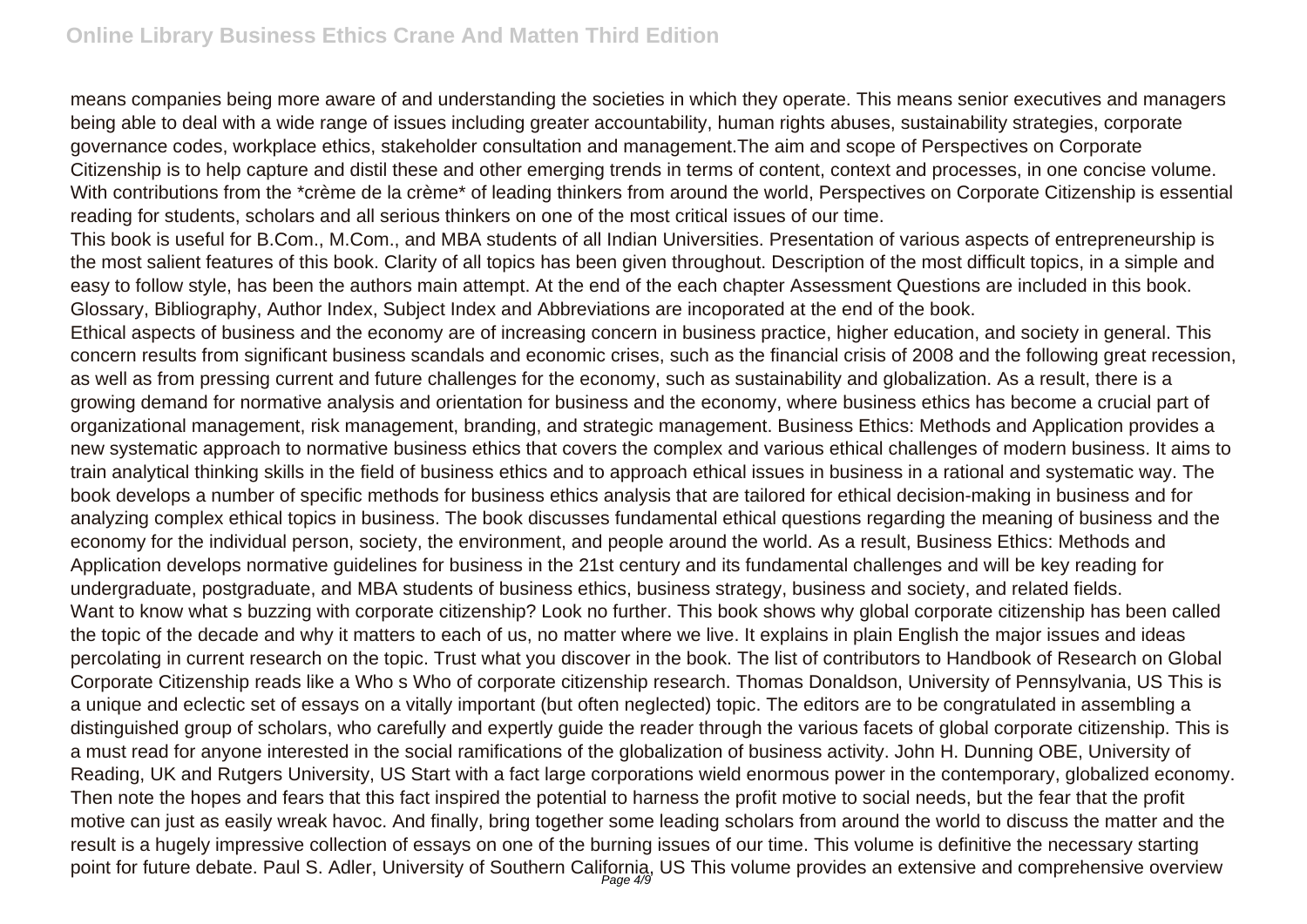means companies being more aware of and understanding the societies in which they operate. This means senior executives and managers being able to deal with a wide range of issues including greater accountability, human rights abuses, sustainability strategies, corporate governance codes, workplace ethics, stakeholder consultation and management.The aim and scope of Perspectives on Corporate Citizenship is to help capture and distil these and other emerging trends in terms of content, context and processes, in one concise volume. With contributions from the \*crème de la crème\* of leading thinkers from around the world, Perspectives on Corporate Citizenship is essential reading for students, scholars and all serious thinkers on one of the most critical issues of our time.

This book is useful for B.Com., M.Com., and MBA students of all Indian Universities. Presentation of various aspects of entrepreneurship is the most salient features of this book. Clarity of all topics has been given throughout. Description of the most difficult topics, in a simple and easy to follow style, has been the authors main attempt. At the end of the each chapter Assessment Questions are included in this book. Glossary, Bibliography, Author Index, Subject Index and Abbreviations are incoporated at the end of the book.

Ethical aspects of business and the economy are of increasing concern in business practice, higher education, and society in general. This concern results from significant business scandals and economic crises, such as the financial crisis of 2008 and the following great recession, as well as from pressing current and future challenges for the economy, such as sustainability and globalization. As a result, there is a growing demand for normative analysis and orientation for business and the economy, where business ethics has become a crucial part of organizational management, risk management, branding, and strategic management. Business Ethics: Methods and Application provides a new systematic approach to normative business ethics that covers the complex and various ethical challenges of modern business. It aims to train analytical thinking skills in the field of business ethics and to approach ethical issues in business in a rational and systematic way. The book develops a number of specific methods for business ethics analysis that are tailored for ethical decision-making in business and for analyzing complex ethical topics in business. The book discusses fundamental ethical questions regarding the meaning of business and the economy for the individual person, society, the environment, and people around the world. As a result, Business Ethics: Methods and Application develops normative guidelines for business in the 21st century and its fundamental challenges and will be key reading for undergraduate, postgraduate, and MBA students of business ethics, business strategy, business and society, and related fields. Want to know what s buzzing with corporate citizenship? Look no further. This book shows why global corporate citizenship has been called the topic of the decade and why it matters to each of us, no matter where we live. It explains in plain English the major issues and ideas percolating in current research on the topic. Trust what you discover in the book. The list of contributors to Handbook of Research on Global Corporate Citizenship reads like a Who s Who of corporate citizenship research. Thomas Donaldson, University of Pennsylvania, US This is a unique and eclectic set of essays on a vitally important (but often neglected) topic. The editors are to be congratulated in assembling a distinguished group of scholars, who carefully and expertly guide the reader through the various facets of global corporate citizenship. This is a must read for anyone interested in the social ramifications of the globalization of business activity. John H. Dunning OBE, University of Reading, UK and Rutgers University, US Start with a fact large corporations wield enormous power in the contemporary, globalized economy. Then note the hopes and fears that this fact inspired the potential to harness the profit motive to social needs, but the fear that the profit motive can just as easily wreak havoc. And finally, bring together some leading scholars from around the world to discuss the matter and the result is a hugely impressive collection of essays on one of the burning issues of our time. This volume is definitive the necessary starting point for future debate. Paul S. Adler, University of Southern California, US This volume provides an extensive and comprehensive overview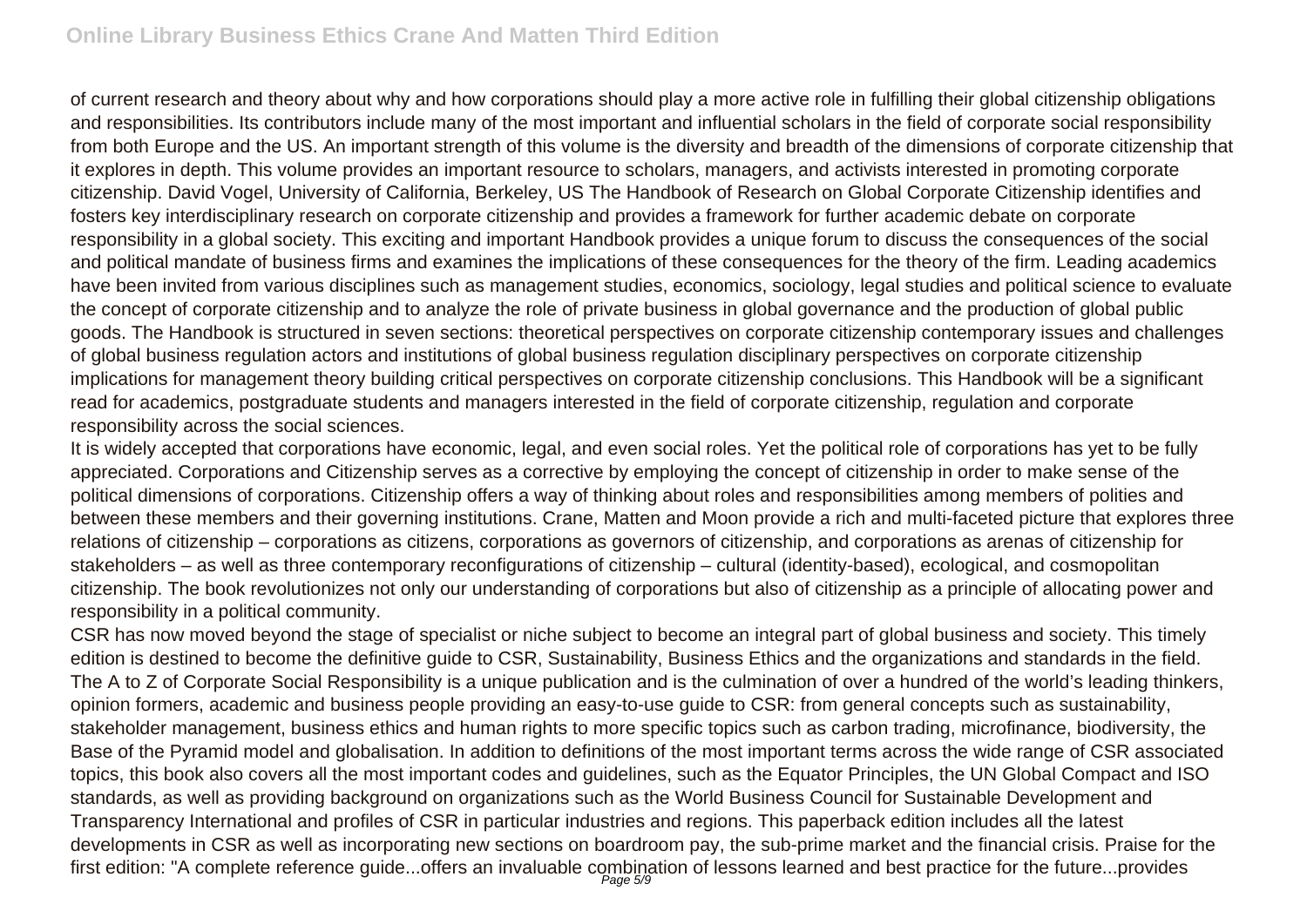of current research and theory about why and how corporations should play a more active role in fulfilling their global citizenship obligations and responsibilities. Its contributors include many of the most important and influential scholars in the field of corporate social responsibility from both Europe and the US. An important strength of this volume is the diversity and breadth of the dimensions of corporate citizenship that it explores in depth. This volume provides an important resource to scholars, managers, and activists interested in promoting corporate citizenship. David Vogel, University of California, Berkeley, US The Handbook of Research on Global Corporate Citizenship identifies and fosters key interdisciplinary research on corporate citizenship and provides a framework for further academic debate on corporate responsibility in a global society. This exciting and important Handbook provides a unique forum to discuss the consequences of the social and political mandate of business firms and examines the implications of these consequences for the theory of the firm. Leading academics have been invited from various disciplines such as management studies, economics, sociology, legal studies and political science to evaluate the concept of corporate citizenship and to analyze the role of private business in global governance and the production of global public goods. The Handbook is structured in seven sections: theoretical perspectives on corporate citizenship contemporary issues and challenges of global business regulation actors and institutions of global business regulation disciplinary perspectives on corporate citizenship implications for management theory building critical perspectives on corporate citizenship conclusions. This Handbook will be a significant read for academics, postgraduate students and managers interested in the field of corporate citizenship, regulation and corporate responsibility across the social sciences.

It is widely accepted that corporations have economic, legal, and even social roles. Yet the political role of corporations has yet to be fully appreciated. Corporations and Citizenship serves as a corrective by employing the concept of citizenship in order to make sense of the political dimensions of corporations. Citizenship offers a way of thinking about roles and responsibilities among members of polities and between these members and their governing institutions. Crane, Matten and Moon provide a rich and multi-faceted picture that explores three relations of citizenship – corporations as citizens, corporations as governors of citizenship, and corporations as arenas of citizenship for stakeholders – as well as three contemporary reconfigurations of citizenship – cultural (identity-based), ecological, and cosmopolitan citizenship. The book revolutionizes not only our understanding of corporations but also of citizenship as a principle of allocating power and responsibility in a political community.

CSR has now moved beyond the stage of specialist or niche subject to become an integral part of global business and society. This timely edition is destined to become the definitive guide to CSR, Sustainability, Business Ethics and the organizations and standards in the field. The A to Z of Corporate Social Responsibility is a unique publication and is the culmination of over a hundred of the world's leading thinkers, opinion formers, academic and business people providing an easy-to-use guide to CSR: from general concepts such as sustainability, stakeholder management, business ethics and human rights to more specific topics such as carbon trading, microfinance, biodiversity, the Base of the Pyramid model and globalisation. In addition to definitions of the most important terms across the wide range of CSR associated topics, this book also covers all the most important codes and guidelines, such as the Equator Principles, the UN Global Compact and ISO standards, as well as providing background on organizations such as the World Business Council for Sustainable Development and Transparency International and profiles of CSR in particular industries and regions. This paperback edition includes all the latest developments in CSR as well as incorporating new sections on boardroom pay, the sub-prime market and the financial crisis. Praise for the first edition: "A complete reference guide...offers an invaluable combination of lessons learned and best practice for the future...provides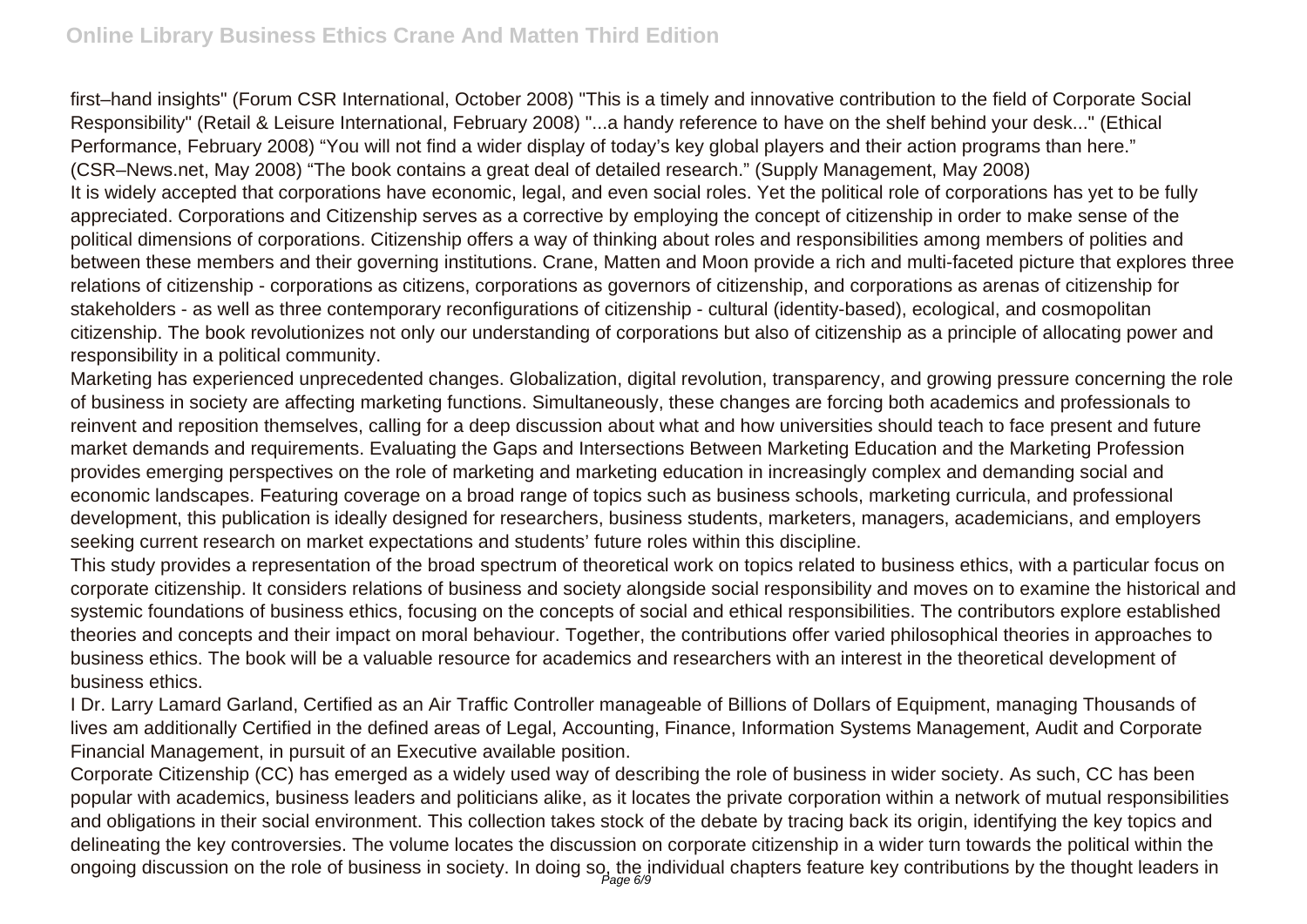first–hand insights" (Forum CSR International, October 2008) "This is a timely and innovative contribution to the field of Corporate Social Responsibility" (Retail & Leisure International, February 2008) "...a handy reference to have on the shelf behind your desk..." (Ethical Performance, February 2008) "You will not find a wider display of today's key global players and their action programs than here." (CSR–News.net, May 2008) "The book contains a great deal of detailed research." (Supply Management, May 2008) It is widely accepted that corporations have economic, legal, and even social roles. Yet the political role of corporations has yet to be fully appreciated. Corporations and Citizenship serves as a corrective by employing the concept of citizenship in order to make sense of the political dimensions of corporations. Citizenship offers a way of thinking about roles and responsibilities among members of polities and between these members and their governing institutions. Crane, Matten and Moon provide a rich and multi-faceted picture that explores three relations of citizenship - corporations as citizens, corporations as governors of citizenship, and corporations as arenas of citizenship for stakeholders - as well as three contemporary reconfigurations of citizenship - cultural (identity-based), ecological, and cosmopolitan citizenship. The book revolutionizes not only our understanding of corporations but also of citizenship as a principle of allocating power and responsibility in a political community.

Marketing has experienced unprecedented changes. Globalization, digital revolution, transparency, and growing pressure concerning the role of business in society are affecting marketing functions. Simultaneously, these changes are forcing both academics and professionals to reinvent and reposition themselves, calling for a deep discussion about what and how universities should teach to face present and future market demands and requirements. Evaluating the Gaps and Intersections Between Marketing Education and the Marketing Profession provides emerging perspectives on the role of marketing and marketing education in increasingly complex and demanding social and economic landscapes. Featuring coverage on a broad range of topics such as business schools, marketing curricula, and professional development, this publication is ideally designed for researchers, business students, marketers, managers, academicians, and employers seeking current research on market expectations and students' future roles within this discipline.

This study provides a representation of the broad spectrum of theoretical work on topics related to business ethics, with a particular focus on corporate citizenship. It considers relations of business and society alongside social responsibility and moves on to examine the historical and systemic foundations of business ethics, focusing on the concepts of social and ethical responsibilities. The contributors explore established theories and concepts and their impact on moral behaviour. Together, the contributions offer varied philosophical theories in approaches to business ethics. The book will be a valuable resource for academics and researchers with an interest in the theoretical development of business ethics.

I Dr. Larry Lamard Garland, Certified as an Air Traffic Controller manageable of Billions of Dollars of Equipment, managing Thousands of lives am additionally Certified in the defined areas of Legal, Accounting, Finance, Information Systems Management, Audit and Corporate Financial Management, in pursuit of an Executive available position.

Corporate Citizenship (CC) has emerged as a widely used way of describing the role of business in wider society. As such, CC has been popular with academics, business leaders and politicians alike, as it locates the private corporation within a network of mutual responsibilities and obligations in their social environment. This collection takes stock of the debate by tracing back its origin, identifying the key topics and delineating the key controversies. The volume locates the discussion on corporate citizenship in a wider turn towards the political within the ongoing discussion on the role of business in society. In doing so, the individual chapters feature key contributions by the thought leaders in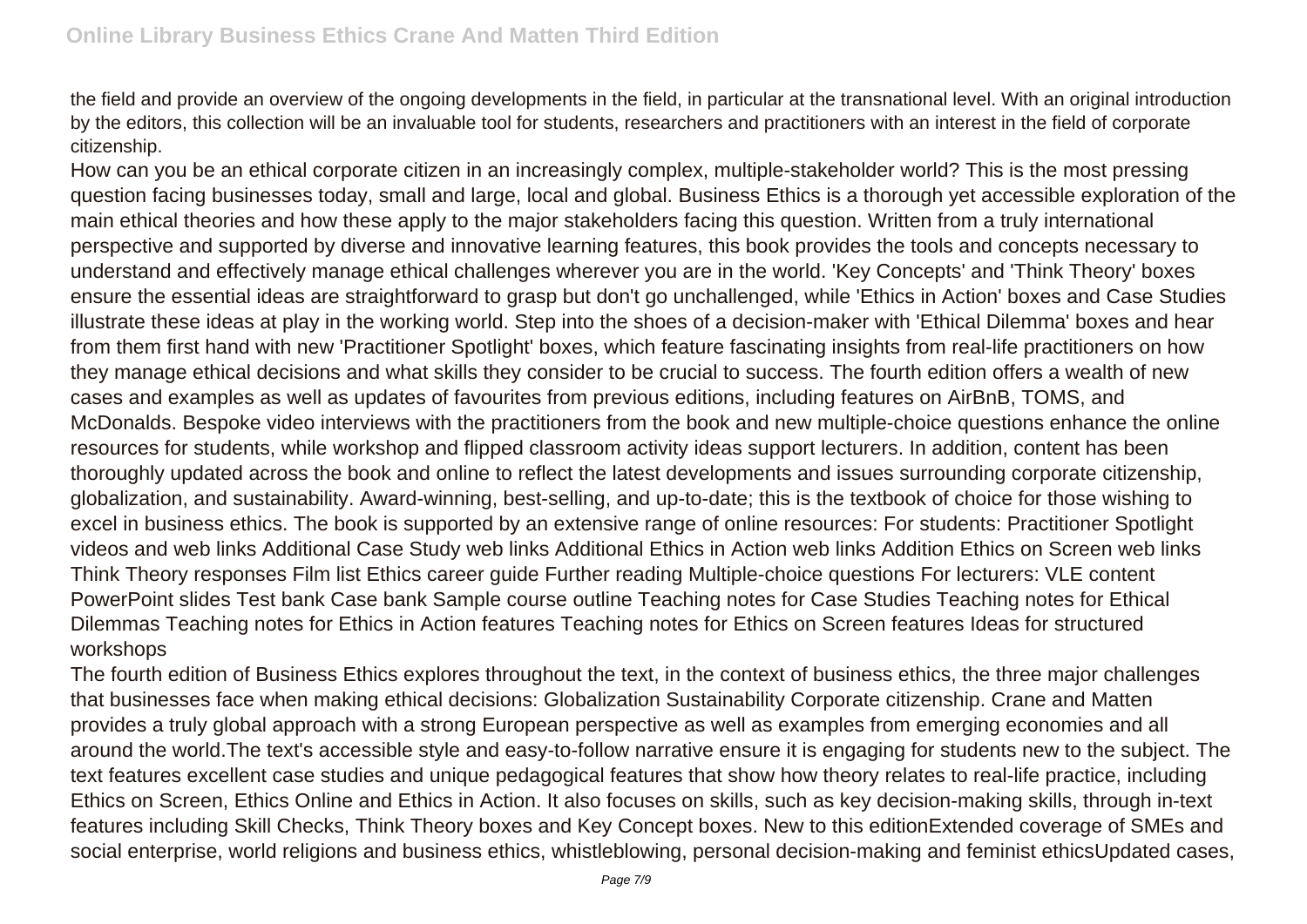the field and provide an overview of the ongoing developments in the field, in particular at the transnational level. With an original introduction by the editors, this collection will be an invaluable tool for students, researchers and practitioners with an interest in the field of corporate citizenship.

How can you be an ethical corporate citizen in an increasingly complex, multiple-stakeholder world? This is the most pressing question facing businesses today, small and large, local and global. Business Ethics is a thorough yet accessible exploration of the main ethical theories and how these apply to the major stakeholders facing this question. Written from a truly international perspective and supported by diverse and innovative learning features, this book provides the tools and concepts necessary to understand and effectively manage ethical challenges wherever you are in the world. 'Key Concepts' and 'Think Theory' boxes ensure the essential ideas are straightforward to grasp but don't go unchallenged, while 'Ethics in Action' boxes and Case Studies illustrate these ideas at play in the working world. Step into the shoes of a decision-maker with 'Ethical Dilemma' boxes and hear from them first hand with new 'Practitioner Spotlight' boxes, which feature fascinating insights from real-life practitioners on how they manage ethical decisions and what skills they consider to be crucial to success. The fourth edition offers a wealth of new cases and examples as well as updates of favourites from previous editions, including features on AirBnB, TOMS, and McDonalds. Bespoke video interviews with the practitioners from the book and new multiple-choice questions enhance the online resources for students, while workshop and flipped classroom activity ideas support lecturers. In addition, content has been thoroughly updated across the book and online to reflect the latest developments and issues surrounding corporate citizenship, globalization, and sustainability. Award-winning, best-selling, and up-to-date; this is the textbook of choice for those wishing to excel in business ethics. The book is supported by an extensive range of online resources: For students: Practitioner Spotlight videos and web links Additional Case Study web links Additional Ethics in Action web links Addition Ethics on Screen web links Think Theory responses Film list Ethics career guide Further reading Multiple-choice questions For lecturers: VLE content PowerPoint slides Test bank Case bank Sample course outline Teaching notes for Case Studies Teaching notes for Ethical Dilemmas Teaching notes for Ethics in Action features Teaching notes for Ethics on Screen features Ideas for structured workshops

The fourth edition of Business Ethics explores throughout the text, in the context of business ethics, the three major challenges that businesses face when making ethical decisions: Globalization Sustainability Corporate citizenship. Crane and Matten provides a truly global approach with a strong European perspective as well as examples from emerging economies and all around the world.The text's accessible style and easy-to-follow narrative ensure it is engaging for students new to the subject. The text features excellent case studies and unique pedagogical features that show how theory relates to real-life practice, including Ethics on Screen, Ethics Online and Ethics in Action. It also focuses on skills, such as key decision-making skills, through in-text features including Skill Checks, Think Theory boxes and Key Concept boxes. New to this editionExtended coverage of SMEs and social enterprise, world religions and business ethics, whistleblowing, personal decision-making and feminist ethicsUpdated cases,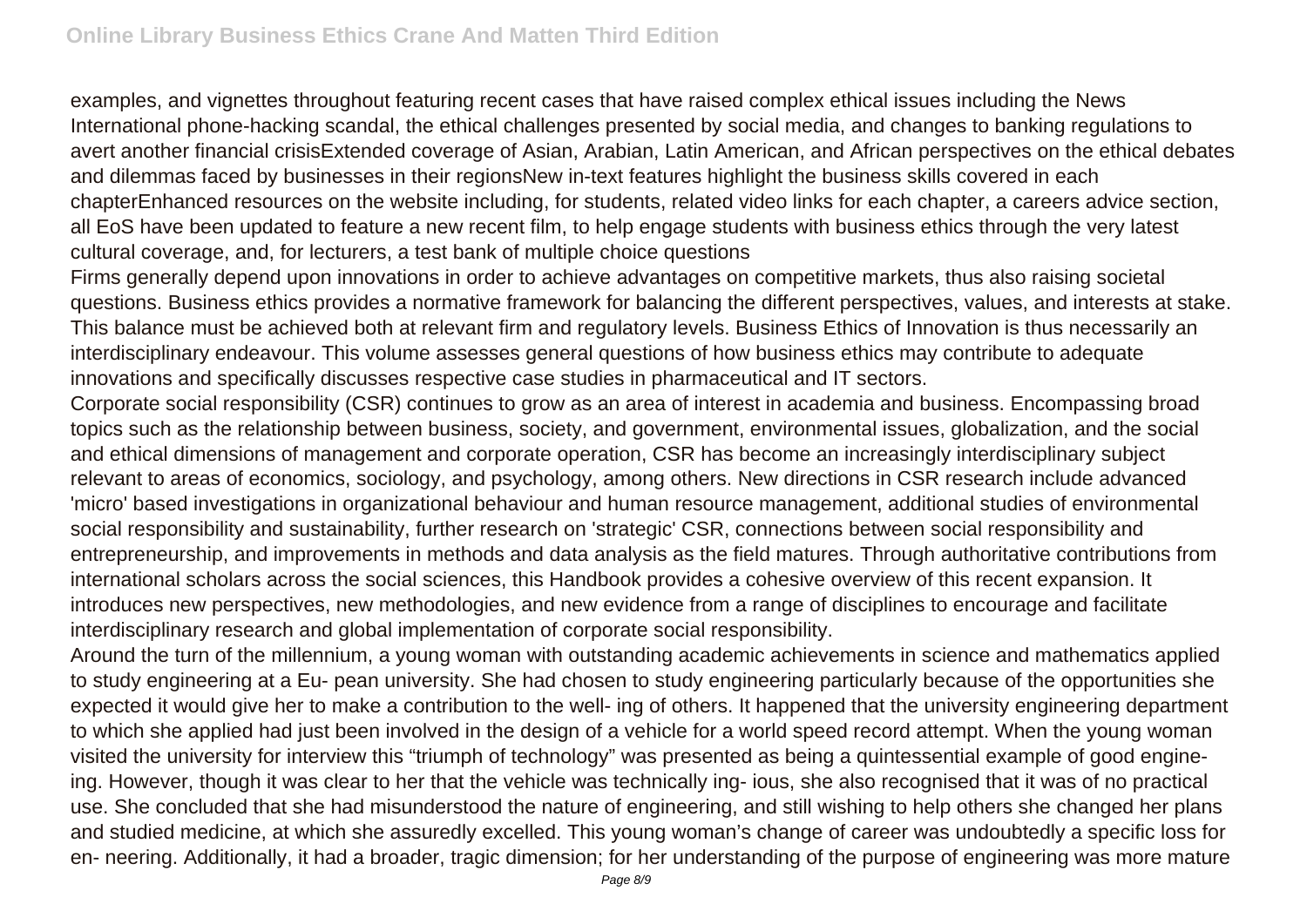examples, and vignettes throughout featuring recent cases that have raised complex ethical issues including the News International phone-hacking scandal, the ethical challenges presented by social media, and changes to banking regulations to avert another financial crisisExtended coverage of Asian, Arabian, Latin American, and African perspectives on the ethical debates and dilemmas faced by businesses in their regionsNew in-text features highlight the business skills covered in each chapterEnhanced resources on the website including, for students, related video links for each chapter, a careers advice section, all EoS have been updated to feature a new recent film, to help engage students with business ethics through the very latest cultural coverage, and, for lecturers, a test bank of multiple choice questions

Firms generally depend upon innovations in order to achieve advantages on competitive markets, thus also raising societal questions. Business ethics provides a normative framework for balancing the different perspectives, values, and interests at stake. This balance must be achieved both at relevant firm and regulatory levels. Business Ethics of Innovation is thus necessarily an interdisciplinary endeavour. This volume assesses general questions of how business ethics may contribute to adequate innovations and specifically discusses respective case studies in pharmaceutical and IT sectors.

Corporate social responsibility (CSR) continues to grow as an area of interest in academia and business. Encompassing broad topics such as the relationship between business, society, and government, environmental issues, globalization, and the social and ethical dimensions of management and corporate operation, CSR has become an increasingly interdisciplinary subject relevant to areas of economics, sociology, and psychology, among others. New directions in CSR research include advanced 'micro' based investigations in organizational behaviour and human resource management, additional studies of environmental social responsibility and sustainability, further research on 'strategic' CSR, connections between social responsibility and entrepreneurship, and improvements in methods and data analysis as the field matures. Through authoritative contributions from international scholars across the social sciences, this Handbook provides a cohesive overview of this recent expansion. It introduces new perspectives, new methodologies, and new evidence from a range of disciplines to encourage and facilitate interdisciplinary research and global implementation of corporate social responsibility.

Around the turn of the millennium, a young woman with outstanding academic achievements in science and mathematics applied to study engineering at a Eu- pean university. She had chosen to study engineering particularly because of the opportunities she expected it would give her to make a contribution to the well- ing of others. It happened that the university engineering department to which she applied had just been involved in the design of a vehicle for a world speed record attempt. When the young woman visited the university for interview this "triumph of technology" was presented as being a quintessential example of good engineing. However, though it was clear to her that the vehicle was technically ing- ious, she also recognised that it was of no practical use. She concluded that she had misunderstood the nature of engineering, and still wishing to help others she changed her plans and studied medicine, at which she assuredly excelled. This young woman's change of career was undoubtedly a specific loss for en- neering. Additionally, it had a broader, tragic dimension; for her understanding of the purpose of engineering was more mature